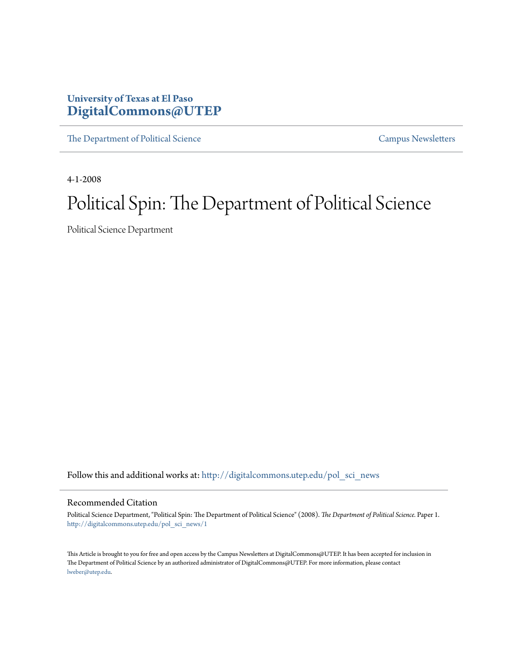# **University of Texas at El Paso [DigitalCommons@UTEP](http://digitalcommons.utep.edu?utm_source=digitalcommons.utep.edu%2Fpol_sci_news%2F1&utm_medium=PDF&utm_campaign=PDFCoverPages)**

[The Department of Political Science](http://digitalcommons.utep.edu/pol_sci_news?utm_source=digitalcommons.utep.edu%2Fpol_sci_news%2F1&utm_medium=PDF&utm_campaign=PDFCoverPages) [Campus Newsletters](http://digitalcommons.utep.edu/newsletters?utm_source=digitalcommons.utep.edu%2Fpol_sci_news%2F1&utm_medium=PDF&utm_campaign=PDFCoverPages) Campus Newsletters

4-1-2008

# Political Spin: The Department of Political Science

Political Science Department

Follow this and additional works at: [http://digitalcommons.utep.edu/pol\\_sci\\_news](http://digitalcommons.utep.edu/pol_sci_news?utm_source=digitalcommons.utep.edu%2Fpol_sci_news%2F1&utm_medium=PDF&utm_campaign=PDFCoverPages)

#### Recommended Citation

Political Science Department, "Political Spin: The Department of Political Science" (2008). *The Department of Political Science.* Paper 1. [http://digitalcommons.utep.edu/pol\\_sci\\_news/1](http://digitalcommons.utep.edu/pol_sci_news/1?utm_source=digitalcommons.utep.edu%2Fpol_sci_news%2F1&utm_medium=PDF&utm_campaign=PDFCoverPages)

This Article is brought to you for free and open access by the Campus Newsletters at DigitalCommons@UTEP. It has been accepted for inclusion in The Department of Political Science by an authorized administrator of DigitalCommons@UTEP. For more information, please contact [lweber@utep.edu](mailto:lweber@utep.edu).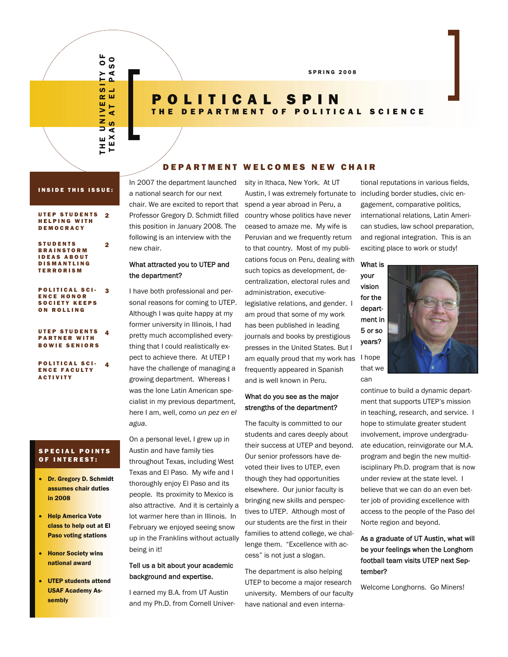THE UNIVERSITY OF TEXAS AT EL PASO <u>၀</u>  $\bullet$  $\geq$ ৰ  $\mathbf{a}$  $\overline{v}$ ب  $\alpha$ ш ш Н  $\geq$ ∢ z<br>D ဖာ ⋖  $E X$ ш  $\mathbf{r}$ Н

2

# POLITICAL SPIN OLITICAL SCIENCE

SPRING 2008

#### DEPARTMENT WELC OMES NEW CHAIR

#### INSIDE THIS ISSUE:

#### UTEP STUDENTS HELPING WITH DEMOCRACY 2

| <b>STUDENTS</b>    |
|--------------------|
| <b>BRAINSTORM</b>  |
| <b>IDEAS ABOUT</b> |
| <b>DISMANTLING</b> |
| <b>TERRORISM</b>   |

#### POLITICAL SCI-ENCE HONOR SOCIETY KEEPS ON ROLLING 3

#### UTEP STUDENTS PARTNER WITH BOWIE SENIORS 4

POLITICAL SCI-ENCE FACULTY ACTIVITY 4

#### SPECIAL POINTS OF INTEREST:

- Dr. Gregory D. Schmidt assumes chair duties in 2008
- Help America Vote class to help out at El Paso voting stations
- **Honor Society wins** national award
- **UTEP students attend** USAF Academy Assembly

In 2007 the department launched a national search for our next chair. We are excited to report that Professor Gregory D. Schmidt filled this position in January 2008. The following is an interview with the new chair.

#### What attracted you to UTEP and the department?

I have both professional and personal reasons for coming to UTEP. Although I was quite happy at my former university in Illinois, I had pretty much accomplished everything that I could realistically expect to achieve there. At UTEP I have the challenge of managing a growing department. Whereas I was the lone Latin American specialist in my previous department, here I am, well, *como un pez en el agua*.

On a personal level, I grew up in Austin and have family ties throughout Texas, including West Texas and El Paso. My wife and I thoroughly enjoy El Paso and its people. Its proximity to Mexico is also attractive. And it is certainly a lot warmer here than in Illinois. In February we enjoyed seeing snow up in the Franklins without actually being in it!

## Tell us a bit about your academic background and expertise.

I earned my B.A. from UT Austin and my Ph.D. from Cornell Univer-

Austin, I was extremely fortunate to including border studies, civic enam equally proud that my work has I hope sity in Ithaca, New York. At UT spend a year abroad in Peru, a country whose politics have never ceased to amaze me. My wife is Peruvian and we frequently return to that country. Most of my publications focus on Peru, dealing with such topics as development, decentralization, electoral rules and administration, executivelegislative relations, and gender. I am proud that some of my work has been published in leading journals and books by prestigious presses in the United States. But I frequently appeared in Spanish and is well known in Peru.

#### What do you see as the major strengths of the department?

The faculty is committed to our students and cares deeply about their success at UTEP and beyond. Our senior professors have devoted their lives to UTEP, even though they had opportunities elsewhere. Our junior faculty is bringing new skills and perspectives to UTEP. Although most of our students are the first in their families to attend college, we challenge them. "Excellence with access" is not just a slogan.

The department is also helping UTEP to become a major research university. Members of our faculty have national and even international reputations in various fields, gagement, comparative politics, international relations, Latin American studies, law school preparation, and regional integration. This is an exciting place to work or study!

What is your vision for the department in 5 or so years? that we

can



ment that supports UTEP's mission in teaching, research, and service. I hope to stimulate greater student involvement, improve undergraduate education, reinvigorate our M.A. program and begin the new multidisciplinary Ph.D. program that is now under review at the state level. I believe that we can do an even better job of providing excellence with access to the people of the Paso del Norte region and beyond.

## As a graduate of UT Austin, what will be your feelings when the Longhorn football team visits UTEP next September?

Welcome Longhorns. Go Miners!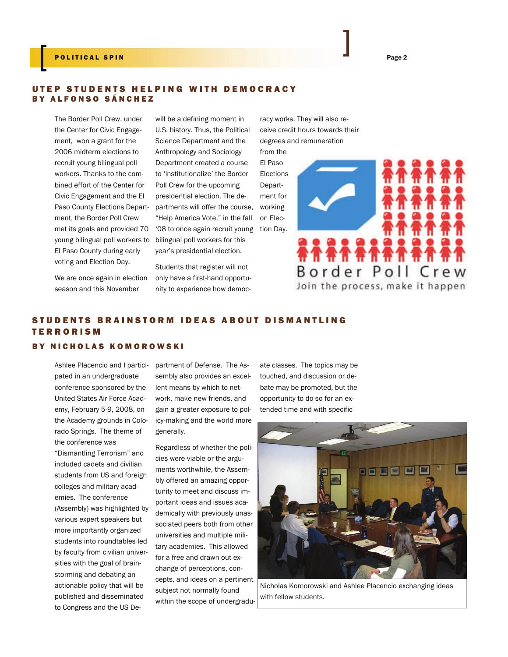#### POLITICAL SPIN Page 2

#### UTEP STUDENTS HELPING WITH DEMOCRACY BY ALFONSO SÁNCHEZ

The Border Poll Crew, under the Center for Civic Engagement, won a grant for the 2006 midterm elections to recruit young bilingual poll workers. Thanks to the combined effort of the Center for Civic Engagement and the El Paso County Elections Department, the Border Poll Crew met its goals and provided 70 young bilingual poll workers to El Paso County during early voting and Election Day.

will be a defining moment in U.S. history. Thus, the Political Science Department and the Anthropology and Sociology Department created a course to 'institutionalize' the Border Poll Crew for the upcoming presidential election. The departments will offer the course, "Help America Vote," in the fall '08 to once again recruit young tion Day. bilingual poll workers for this year's presidential election.

Students that register will not only have a first-hand opportunity to experience how democracy works. They will also receive credit hours towards their degrees and remuneration

El Paso Elections Department for working on Elec-

from the



We are once again in election season and this November

# STUDENTS BRAINSTORM IDEAS ABOUT DISMANTLING **TERRORISM**

#### BY NICHOLAS KOMOROWSKI

Ashlee Placencio and I participated in an undergraduate conference sponsored by the United States Air Force Academy, February 5-9, 2008, on the Academy grounds in Colorado Springs. The theme of the conference was "Dismantling Terrorism" and included cadets and civilian students from US and foreign colleges and military academies. The conference (Assembly) was highlighted by various expert speakers but more importantly organized students into roundtables led by faculty from civilian universities with the goal of brainstorming and debating an actionable policy that will be published and disseminated to Congress and the US De-

partment of Defense. The Assembly also provides an excellent means by which to network, make new friends, and gain a greater exposure to policy-making and the world more generally.

Regardless of whether the policies were viable or the arguments worthwhile, the Assembly offered an amazing opportunity to meet and discuss important ideas and issues academically with previously unassociated peers both from other universities and multiple military academies. This allowed for a free and drawn out exchange of perceptions, concepts, and ideas on a pertinent subject not normally found within the scope of undergraduate classes. The topics may be touched, and discussion or debate may be promoted, but the opportunity to do so for an extended time and with specific



Nicholas Komorowski and Ashlee Placencio exchanging ideas with fellow students.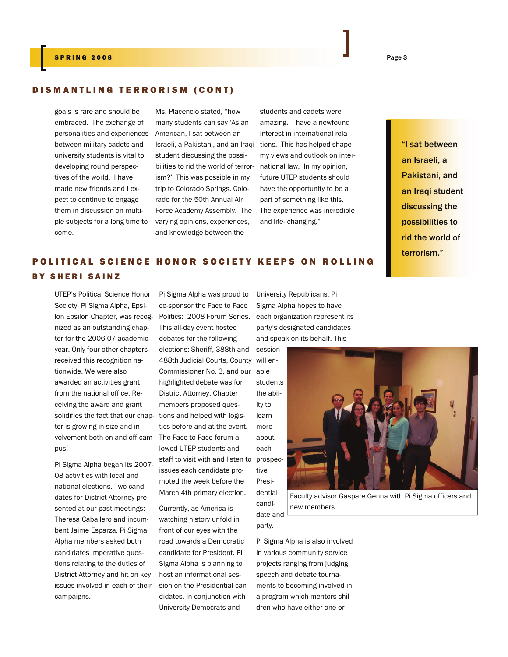## DISMANTLING TERRORISM (CONT)

goals is rare and should be embraced. The exchange of personalities and experiences between military cadets and university students is vital to developing round perspectives of the world. I have made new friends and I expect to continue to engage them in discussion on multiple subjects for a long time to come.

Ms. Placencio stated, "how many students can say 'As an American, I sat between an Israeli, a Pakistani, and an Iraqi tions. This has helped shape student discussing the possibilities to rid the world of terrorism?' This was possible in my trip to Colorado Springs, Colorado for the 50th Annual Air Force Academy Assembly. The varying opinions, experiences, and knowledge between the

students and cadets were amazing. I have a newfound interest in international relamy views and outlook on international law. In my opinion, future UTEP students should have the opportunity to be a part of something like this. The experience was incredible and life- changing."

"I sat between an Israeli, a Pakistani, and an Iraqi student discussing the possibilities to rid the world of terrorism."

## POLITICAL SCIENCE HONOR SO CIETY KEEPS ON ROLLING BY SHERI SAINZ

lon Epsilon Chapter, was recog- Politics: 2008 Forum Series. solidifies the fact that our chap- tions and helped with logisvolvement both on and off cam- The Face to Face forum al-UTEP's Political Science Honor Society, Pi Sigma Alpha, Epsinized as an outstanding chapter for the 2006-07 academic year. Only four other chapters received this recognition nationwide. We were also awarded an activities grant from the national office. Receiving the award and grant ter is growing in size and inpus!

Pi Sigma Alpha began its 2007- 08 activities with local and national elections. Two candidates for District Attorney presented at our past meetings: Theresa Caballero and incumbent Jaime Esparza. Pi Sigma Alpha members asked both candidates imperative questions relating to the duties of District Attorney and hit on key issues involved in each of their campaigns.

Pi Sigma Alpha was proud to co-sponsor the Face to Face This all-day event hosted debates for the following elections: Sheriff, 388th and 488th Judicial Courts, County Commissioner No. 3, and our able highlighted debate was for District Attorney. Chapter members proposed questics before and at the event. lowed UTEP students and staff to visit with and listen to issues each candidate promoted the week before the March 4th primary election. session

Currently, as America is watching history unfold in front of our eyes with the road towards a Democratic candidate for President. Pi Sigma Alpha is planning to host an informational session on the Presidential candidates. In conjunction with University Democrats and

University Republicans, Pi Sigma Alpha hopes to have each organization represent its party's designated candidates and speak on its behalf. This

will enstudents the ability to learn more about each prospective Presidential



date and Faculty advisor Gaspare Genna with Pi Sigma officers and new members.

#### party.

candi-

Pi Sigma Alpha is also involved in various community service projects ranging from judging speech and debate tournaments to becoming involved in a program which mentors children who have either one or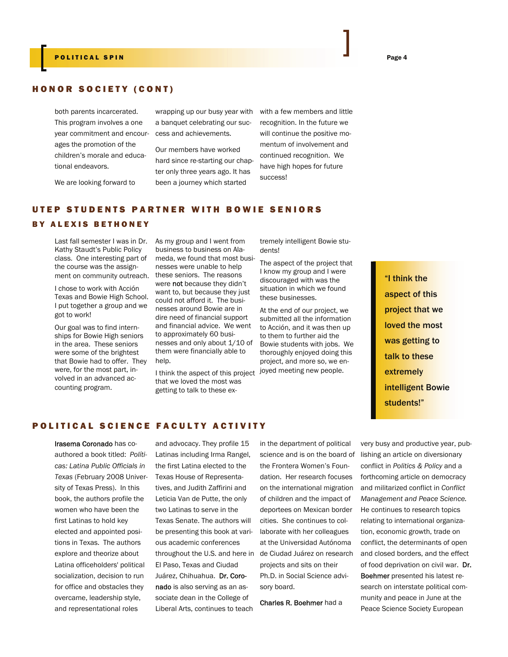## HONOR SOCIETY (CONT)

both parents incarcerated. This program involves a one year commitment and encourages the promotion of the children's morale and educational endeavors.

We are looking forward to

wrapping up our busy year with a banquet celebrating our success and achievements.

Our members have worked hard since re-starting our chapter only three years ago. It has been a journey which started

with a few members and little recognition. In the future we will continue the positive momentum of involvement and continued recognition. We have high hopes for future success!

## UTEP STUDENTS PARTNER WITH BOWIE SENIORS

#### BY ALEXIS BETHONEY

Last fall semester I was in Dr. Kathy Staudt's Public Policy class. One interesting part of the course was the assignment on community outreach.

I chose to work with Acción Texas and Bowie High School. I put together a group and we got to work!

Our goal was to find internships for Bowie High seniors in the area. These seniors were some of the brightest that Bowie had to offer. They were, for the most part, involved in an advanced accounting program.

As my group and I went from business to business on Alameda, we found that most businesses were unable to help these seniors. The reasons were not because they didn't want to, but because they just could not afford it. The businesses around Bowie are in dire need of financial support and financial advice. We went to approximately 60 businesses and only about 1/10 of them were financially able to help.

I think the aspect of this project joyed meeting new people. that we loved the most was getting to talk to these ex-

tremely intelligent Bowie students!

The aspect of the project that I know my group and I were discouraged with was the situation in which we found these businesses.

At the end of our project, we submitted all the information to Acción, and it was then up to them to further aid the Bowie students with jobs. We thoroughly enjoyed doing this project, and more so, we en-

"I think the aspect of this project that we loved the most was getting to talk to these extremely intelligent Bowie students!"

### POLITICAL SCIENCE FACULTY ACTIVITY

Irasema Coronado has coauthored a book titled: *Políticas: Latina Public Officials in Texas* (February 2008 University of Texas Press). In this book, the authors profile the women who have been the first Latinas to hold key elected and appointed positions in Texas. The authors explore and theorize about Latina officeholders' political socialization, decision to run for office and obstacles they overcame, leadership style, and representational roles

and advocacy. They profile 15 Latinas including Irma Rangel, the first Latina elected to the Texas House of Representatives, and Judith Zaffirini and Leticia Van de Putte, the only two Latinas to serve in the Texas Senate. The authors will be presenting this book at various academic conferences throughout the U.S. and here in El Paso, Texas and Ciudad Juárez, Chihuahua. Dr. Coronado is also serving as an associate dean in the College of Liberal Arts, continues to teach

in the department of political science and is on the board of the Frontera Women's Foundation. Her research focuses on the international migration of children and the impact of deportees on Mexican border cities. She continues to collaborate with her colleagues at the Universidad Autónoma de Ciudad Juárez on research projects and sits on their Ph.D. in Social Science advisory board.

Charles R. Boehmer had a

very busy and productive year, publishing an article on diversionary conflict in *Politics & Policy* and a forthcoming article on democracy and militarized conflict in *Conflict Management and Peace Science.* He continues to research topics relating to international organization, economic growth, trade on conflict, the determinants of open and closed borders, and the effect of food deprivation on civil war. Dr. Boehmer presented his latest research on interstate political community and peace in June at the Peace Science Society European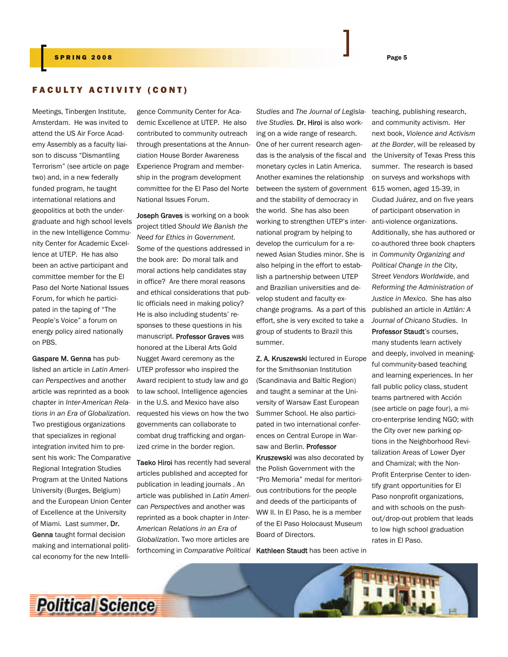#### FACULTY ACTIVITY (CONT)

Meetings, Tinbergen Institute, Amsterdam. He was invited to attend the US Air Force Academy Assembly as a faculty liaison to discuss "Dismantling Terrorism" (see article on page two) and, in a new federally funded program, he taught international relations and geopolitics at both the undergraduate and high school levels in the new Intelligence Community Center for Academic Excellence at UTEP. He has also been an active participant and committee member for the El Paso del Norte National Issues Forum, for which he participated in the taping of "The People's Voice" a forum on energy policy aired nationally on PBS.

Gaspare M. Genna has published an article in *Latin American Perspectives* and another article was reprinted as a book chapter in *Inter-American Relations in an Era of Globalization.* Two prestigious organizations that specializes in regional integration invited him to present his work: The Comparative Regional Integration Studies Program at the United Nations University (Burges, Belgium) and the European Union Center of Excellence at the University of Miami. Last summer, Dr. Genna taught formal decision making and international political economy for the new Intelli-

gence Community Center for Academic Excellence at UTEP. He also contributed to community outreach through presentations at the Annunciation House Border Awareness Experience Program and membership in the program development committee for the El Paso del Norte National Issues Forum.

Joseph Graves is working on a book project titled *Should We Banish the Need for Ethics in Government*. Some of the questions addressed in the book are: Do moral talk and moral actions help candidates stay in office? Are there moral reasons and ethical considerations that public officials need in making policy? He is also including students' responses to these questions in his manuscript. Professor Graves was honored at the Liberal Arts Gold Nugget Award ceremony as the UTEP professor who inspired the Award recipient to study law and go to law school. Intelligence agencies in the U.S. and Mexico have also requested his views on how the two governments can collaborate to combat drug trafficking and organized crime in the border region.

Taeko Hiroi has recently had several articles published and accepted for publication in leading journals . An article was published in *Latin American Perspectives* and another was reprinted as a book chapter in *Inter-American Relations in an Era of Globalization*. Two more articles are forthcoming in *Comparative Political* Kathleen Staudt has been active in

*Studies* and *The Journal of Legislative Studies.* Dr. Hiroi is also working on a wide range of research. One of her current research agendas is the analysis of the fiscal and monetary cycles in Latin America. Another examines the relationship between the system of government and the stability of democracy in the world. She has also been working to strengthen UTEP's international program by helping to develop the curriculum for a renewed Asian Studies minor. She is also helping in the effort to establish a partnership between UTEP and Brazilian universities and develop student and faculty exchange programs. As a part of this effort, she is very excited to take a group of students to Brazil this summer.

Z. A. Kruszewski lectured in Europe for the Smithsonian Institution (Scandinavia and Baltic Region) and taught a seminar at the University of Warsaw East European Summer School. He also participated in two international conferences on Central Europe in Warsaw and Berlin. Professor Kruszewski was also decorated by the Polish Government with the "Pro Memoria" medal for meritorious contributions for the people and deeds of the participants of WW II. In El Paso, he is a member of the El Paso Holocaust Museum Board of Directors.

teaching, publishing research, and community activism. Her next book, *Violence and Activism at the Border*, will be released by the University of Texas Press this summer. The research is based on surveys and workshops with 615 women, aged 15-39, in Ciudad Juárez, and on five years of participant observation in anti-violence organizations. Additionally, she has authored or co-authored three book chapters in *Community Organizing and Political Change in the City*, *Street Vendors Worldwide*, and *Reforming the Administration of Justice in Mexico*. She has also published an article in *Aztlán: A Journal of Chicano Studies*. In Professor Staudt's courses,

many students learn actively and deeply, involved in meaningful community-based teaching and learning experiences. In her fall public policy class, student teams partnered with Acción (see article on page four), a micro-enterprise lending NGO; with the City over new parking options in the Neighborhood Revitalization Areas of Lower Dyer and Chamizal; with the Non-Profit Enterprise Center to identify grant opportunities for El Paso nonprofit organizations, and with schools on the pushout/drop-out problem that leads to low high school graduation rates in El Paso.